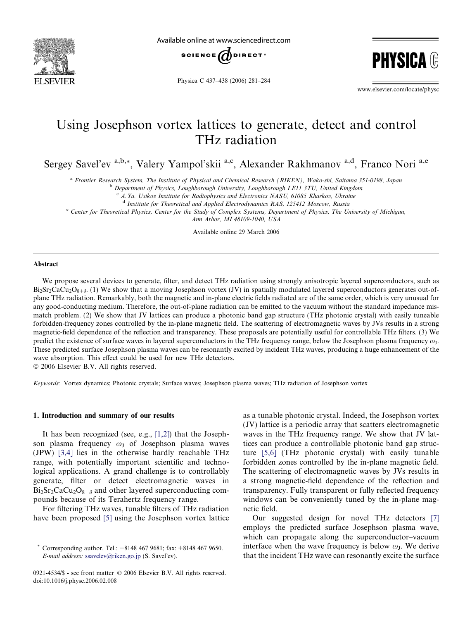

Available online at www.sciencedirect.com



Physica C 437–438 (2006) 281–284

www.elsevier.com/locate/physc

**PHYSIC** 

# Using Josephson vortex lattices to generate, detect and control THz radiation

Sergey Savel'ev a,b,\*, Valery Yampol'skii a,c, Alexander Rakhmanov a,d, Franco Nori a,e

<sup>a</sup> Frontier Research System, The Institute of Physical and Chemical Research (RIKEN), Wako-shi, Saitama 351-0198, Japan

b Department of Physics, Loughborough University, Loughborough LE11 3TU, United Kingdom

 $c$  A.Ya. Usikov Institute for Radiophysics and Electronics NASU, 61085 Kharkov, Ukraine

<sup>d</sup> Institute for Theoretical and Applied Electrodynamics RAS, 125412 Moscow, Russia

<sup>e</sup> Center for Theoretical Physics, Center for the Study of Complex Systems, Department of Physics, The University of Michigan,

Ann Arbor, MI 48109-1040, USA

Available online 29 March 2006

#### Abstract

We propose several devices to generate, filter, and detect THz radiation using strongly anisotropic layered superconductors, such as  $Bi_2Sr_2CaCu_2O_{8+\delta}$ . (1) We show that a moving Josephson vortex (JV) in spatially modulated layered superconductors generates out-ofplane THz radiation. Remarkably, both the magnetic and in-plane electric fields radiated are of the same order, which is very unusual for any good-conducting medium. Therefore, the out-of-plane radiation can be emitted to the vacuum without the standard impedance mismatch problem. (2) We show that JV lattices can produce a photonic band gap structure (THz photonic crystal) with easily tuneable forbidden-frequency zones controlled by the in-plane magnetic field. The scattering of electromagnetic waves by JVs results in a strong magnetic-field dependence of the reflection and transparency. These proposals are potentially useful for controllable THz filters. (3) We predict the existence of surface waves in layered superconductors in the THz frequency range, below the Josephson plasma frequency  $\omega_I$ . These predicted surface Josephson plasma waves can be resonantly excited by incident THz waves, producing a huge enhancement of the wave absorption. This effect could be used for new THz detectors.

© 2006 Elsevier B.V. All rights reserved.

Keywords: Vortex dynamics; Photonic crystals; Surface waves; Josephson plasma waves; THz radiation of Josephson vortex

## 1. Introduction and summary of our results

It has been recognized (see, e.g., [\[1,2\]\)](#page-3-0) that the Josephson plasma frequency  $\omega_J$  of Josephson plasma waves (JPW) [\[3,4\]](#page-3-0) lies in the otherwise hardly reachable THz range, with potentially important scientific and technological applications. A grand challenge is to controllably generate, filter or detect electromagnetic waves in  $Bi_2Sr_2CaCu_2O_{8+\delta}$  and other layered superconducting compounds because of its Terahertz frequency range.

For filtering THz waves, tunable filters of THz radiation have been proposed [\[5\]](#page-3-0) using the Josephson vortex lattice as a tunable photonic crystal. Indeed, the Josephson vortex (JV) lattice is a periodic array that scatters electromagnetic waves in the THz frequency range. We show that JV lattices can produce a controllable photonic band gap structure [\[5,6\]](#page-3-0) (THz photonic crystal) with easily tunable forbidden zones controlled by the in-plane magnetic field. The scattering of electromagnetic waves by JVs results in a strong magnetic-field dependence of the reflection and transparency. Fully transparent or fully reflected frequency windows can be conveniently tuned by the in-plane magnetic field.

Our suggested design for novel THz detectors [\[7\]](#page-3-0) employs the predicted surface Josephson plasma wave, which can propagate along the superconductor–vacuum interface when the wave frequency is below  $\omega_{J}$ . We derive that the incident THz wave can resonantly excite the surface

Corresponding author. Tel.: +8148 467 9681; fax: +8148 467 9650. E-mail address: [ssavelev@riken.go.jp](mailto:ssavelev@riken.go.jp) (S. Savel'ev).

<sup>0921-4534/\$ -</sup> see front matter © 2006 Elsevier B.V. All rights reserved. doi:10.1016/j.physc.2006.02.008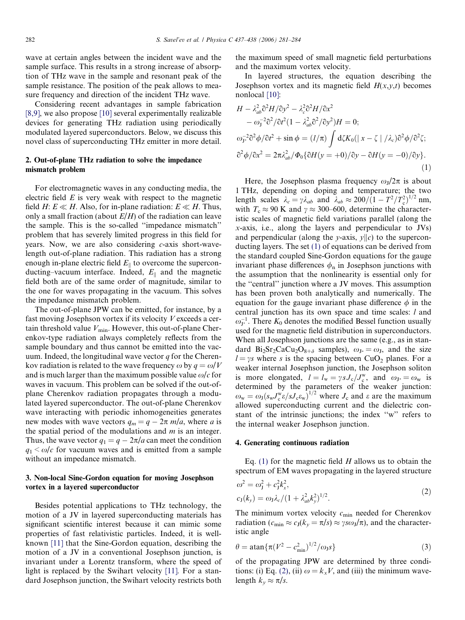<span id="page-1-0"></span>wave at certain angles between the incident wave and the sample surface. This results in a strong increase of absorption of THz wave in the sample and resonant peak of the sample resistance. The position of the peak allows to measure frequency and direction of the incident THz wave.

Considering recent advantages in sample fabrication [\[8,9\],](#page-3-0) we also propose [\[10\]](#page-3-0) several experimentally realizable devices for generating THz radiation using periodically modulated layered superconductors. Below, we discuss this novel class of superconducting THz emitter in more detail.

# 2. Out-of-plane THz radiation to solve the impedance mismatch problem

For electromagnetic waves in any conducting media, the electric field  $E$  is very weak with respect to the magnetic field H:  $E \ll H$ . Also, for in-plane radiation:  $E \ll H$ . Thus, only a small fraction (about  $E/H$ ) of the radiation can leave the sample. This is the so-called ''impedance mismatch'' problem that has severely limited progress in this field for years. Now, we are also considering c-axis short-wavelength out-of-plane radiation. This radiation has a strong enough in-plane electric field  $E_{\parallel}$  to overcome the superconducting–vacuum interface. Indeed,  $E_{\parallel}$  and the magnetic field both are of the same order of magnitude, similar to the one for waves propagating in the vacuum. This solves the impedance mismatch problem.

The out-of-plane JPW can be emitted, for instance, by a fast moving Josephson vortex if its velocity V exceeds a certain threshold value  $V_{\text{min}}$ . However, this out-of-plane Cherenkov-type radiation always completely reflects from the sample boundary and thus cannot be emitted into the vacuum. Indeed, the longitudinal wave vector  $q$  for the Cherenkov radiation is related to the wave frequency  $\omega$  by  $q = \omega/V$ and is much larger than the maximum possible value  $\omega/c$  for waves in vacuum. This problem can be solved if the out-ofplane Cherenkov radiation propagates through a modulated layered superconductor. The out-of-plane Cherenkov wave interacting with periodic inhomogeneities generates new modes with wave vectors  $q_m = q - 2\pi m/a$ , where a is the spatial period of the modulations and  $m$  is an integer. Thus, the wave vector  $q_1 = q - 2\pi/a$  can meet the condition  $q_1 < \omega/c$  for vacuum waves and is emitted from a sample without an impedance mismatch.

# 3. Non-local Sine-Gordon equation for moving Josephson vortex in a layered superconductor

Besides potential applications to THz technology, the motion of a JV in layered superconducting materials has significant scientific interest because it can mimic some properties of fast relativistic particles. Indeed, it is wellknown [\[11\]](#page-3-0) that the Sine-Gordon equation, describing the motion of a JV in a conventional Josephson junction, is invariant under a Lorentz transform, where the speed of light is replaced by the Swihart velocity [\[11\]](#page-3-0). For a standard Josephson junction, the Swihart velocity restricts both

the maximum speed of small magnetic field perturbations and the maximum vortex velocity.

In layered structures, the equation describing the Josephson vortex and its magnetic field  $H(x,y,t)$  becomes nonlocal [\[10\]](#page-3-0):

$$
H - \lambda_{ab}^2 \partial^2 H / \partial y^2 - \lambda_c^2 \partial^2 H / \partial x^2
$$
  
\n
$$
- \omega_J^{-2} \partial^2 / \partial t^2 (1 - \lambda_{ab}^2 \partial^2 / \partial y^2) H = 0;
$$
  
\n
$$
\omega_{J^*}^{-2} \partial^2 \phi / \partial t^2 + \sin \phi = (l/\pi) \int d\zeta K_0 (|\, x - \zeta \,| \, / \lambda_c) \partial^2 \phi / \partial^2 \zeta;
$$
  
\n
$$
\partial^2 \phi / \partial x^2 = 2\pi \lambda_{ab}^2 / \Phi_0 {\partial H (y = +0) / \partial y - \partial H (y = -0) / \partial y}.
$$
  
\n(1)

Here, the Josephson plasma frequency  $\omega_{\rm I}/2\pi$  is about 1 THz, depending on doping and temperature; the two length scales  $\lambda_c = \gamma \lambda_{ab}$  and  $\lambda_{ab} \approx 200/(1 - T^2/T_c^2)^{1/2}$  nm, with  $T_c \approx 90$  K and  $\gamma \approx 300-600$ , determine the characteristic scales of magnetic field variations parallel (along the x-axis, i.e., along the layers and perpendicular to JVs) and perpendicular (along the y-axis,  $y||c$ ) to the superconducting layers. The set (1) of equations can be derived from the standard coupled Sine-Gordon equations for the gauge invariant phase differences  $\phi_n$  in Josephson junctions with the assumption that the nonlinearity is essential only for the ''central'' junction where a JV moves. This assumption has been proven both analytically and numerically. The equation for the gauge invariant phase difference  $\phi$  in the central junction has its own space and time scales: *l* and  $\omega_{J^*}^{-1}$ . There  $K_0$  denotes the modified Bessel function usually used for the magnetic field distribution in superconductors. When all Josephson junctions are the same (e.g., as in standard Bi<sub>2</sub>Sr<sub>2</sub>CaCu<sub>2</sub>O<sub>8+ $\delta$ </sub> samples),  $\omega_{J*} = \omega_{J}$ , and the size  $l = \gamma s$  where s is the spacing between CuO<sub>2</sub> planes. For a weaker internal Josephson junction, the Josephson soliton is more elongated,  $l = l_w = \gamma s J_c / J_c^w$ , and  $\omega_{J^*} = \omega_w$  is determined by the parameters of the weaker junction:  $\omega_{\rm w} = \omega_{\rm J} (s_{\rm w} J_{\rm c}^{\rm w} \varepsilon / s J_{\rm c} \varepsilon_{\rm w})^{1/2}$  where  $J_{\rm c}$  and  $\varepsilon$  are the maximum allowed superconducting current and the dielectric constant of the intrinsic junctions; the index ''w'' refers to the internal weaker Josephson junction.

#### 4. Generating continuous radiation

Eq. (1) for the magnetic field  $H$  allows us to obtain the spectrum of EM waves propagating in the layered structure

$$
\omega^2 = \omega_j^2 + c_j^2 k_x^2,
$$
  
\n
$$
c_J(k_y) = \omega_J \lambda_c / (1 + \lambda_{ab}^2 k_y^2)^{1/2}.
$$
\n(2)

The minimum vortex velocity  $c_{\min}$  needed for Cherenkov radiation ( $c_{\min} \approx c_J(k_y = \pi/s) \approx \gamma s \omega_J/\pi$ ), and the characteristic angle

$$
\theta = \operatorname{atan} \{ \pi (V^2 - c_{\min}^2)^{1/2} / \omega_J s \}
$$
 (3)

of the propagating JPW are determined by three conditions: (i) Eq. (2), (ii)  $\omega = k_x V$ , and (iii) the minimum wavelength  $k_v \approx \pi/s$ .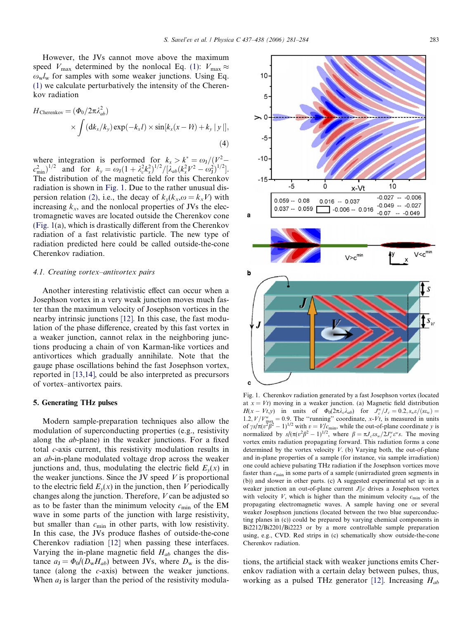However, the JVs cannot move above the maximum speed  $V_{\text{max}}$  determined by the nonlocal Eq. [\(1\)](#page-1-0):  $V_{\text{max}} \approx$  $\omega_w l_w$  for samples with some weaker junctions. Using Eq. [\(1\)](#page-1-0) we calculate perturbatively the intensity of the Cherenkov radiation

$$
H_{\text{Cherenkov}} = (\Phi_0 / 2\pi \lambda_{ab}^2)
$$
  
 
$$
\times \int (\mathrm{d}k_x / k_y) \exp(-k_x l) \times \sin[k_x (x - Vt) + k_y |y|],
$$
 (4)

where integration is performed for  $k_x > k^* = \omega_J / (V^2$  $c_{\min}^2$ )<sup>1/2</sup> and for  $k_y = \omega_J (1 + \lambda_c^2 k_x^2)^{1/2} / [\lambda_{ab} (k_x^2 V^2 - \omega_J^2)^{1/2}]$ . The distribution of the magnetic field for this Cherenkov radiation is shown in Fig. 1. Due to the rather unusual dis-persion relation [\(2\)](#page-1-0), i.e., the decay of  $k_v(k_x, \omega = k_x V)$  with increasing  $k_x$ , and the nonlocal properties of JVs the electromagnetic waves are located outside the Cherenkov cone (Fig. 1(a), which is drastically different from the Cherenkov radiation of a fast relativistic particle. The new type of radiation predicted here could be called outside-the-cone Cherenkov radiation.

#### 4.1. Creating vortex–antivortex pairs

Another interesting relativistic effect can occur when a Josephson vortex in a very weak junction moves much faster than the maximum velocity of Josephson vortices in the nearby intrinsic junctions [\[12\]](#page-3-0). In this case, the fast modulation of the phase difference, created by this fast vortex in a weaker junction, cannot relax in the neighboring junctions producing a chain of von Karman-like vortices and antivortices which gradually annihilate. Note that the gauge phase oscillations behind the fast Josephson vortex, reported in [\[13,14\]](#page-3-0), could be also interpreted as precursors of vortex–antivortex pairs.

#### 5. Generating THz pulses

Modern sample-preparation techniques also allow the modulation of superconducting properties (e.g., resistivity along the ab-plane) in the weaker junctions. For a fixed total c-axis current, this resistivity modulation results in an ab-in-plane modulated voltage drop across the weaker junctions and, thus, modulating the electric field  $E_y(x)$  in the weaker junctions. Since the JV speed  $V$  is proportional to the electric field  $E_y(x)$  in the junction, then V periodically changes along the junction. Therefore, V can be adjusted so as to be faster than the minimum velocity  $c_{\min}$  of the EM wave in some parts of the junction with large resistivity, but smaller than  $c_{\min}$  in other parts, with low resistivity. In this case, the JVs produce flashes of outside-the-cone Cherenkov radiation [\[12\]](#page-3-0) when passing these interfaces. Varying the in-plane magnetic field  $H_{ab}$  changes the distance  $a_J = \Phi_0/(D_w H_{ab})$  between JVs, where  $D_w$  is the distance (along the c-axis) between the weaker junctions. When  $a<sub>J</sub>$  is larger than the period of the resistivity modula-



Fig. 1. Cherenkov radiation generated by a fast Josephson vortex (located at  $x = Vt$ ) moving in a weaker junction. (a) Magnetic field distribution  $H(x - Vt, y)$  in units of  $\Phi_0(2\pi\lambda_c\lambda_{ab})$  for  $J_c^w/J_c = 0.2$ ,  $s_w\varepsilon/(s\epsilon_w) =$ 1.2,  $V/V_{\text{max}}^{\text{w}} = 0.9$ . The "running" coordinate, x-Vt, is measured in units of  $\gamma s / \pi (v^2 \vec{\beta}^2 - 1)^{1/2}$  with  $v = V/c_{\text{min}}$ , while the out-of-plane coordinate y is normalized by  $s/(\pi (v^2 \beta^2 - 1)^{1/2})$ , where  $\beta = \pi J_c \varepsilon s_w/2J_c^w \varepsilon^w s$ . The moving vortex emits radiation propagating forward. This radiation forms a cone determined by the vortex velocity  $V$ . (b) Varying both, the out-of-plane and in-plane properties of a sample (for instance, via sample irradiation) one could achieve pulsating THz radiation if the Josephson vortices move faster than  $c_{\min}$  in some parts of a sample (unirradiated green segments in (b)) and slower in other parts. (c) A suggested experimental set up: in a weaker junction an out-of-plane current  $J||c$  drives a Josephson vortex with velocity V, which is higher than the minimum velocity  $c_{\min}$  of the propagating electromagnetic waves. A sample having one or several weaker Josephson junctions (located between the two blue superconducting planes in (c)) could be prepared by varying chemical components in Bi2212/Bi2201/Bi2223 or by a more controllable sample preparation using, e.g., CVD. Red strips in (c) schematically show outside-the-cone Cherenkov radiation.

tions, the artificial stack with weaker junctions emits Cherenkov radiation with a certain delay between pulses, thus, working as a pulsed THz generator [\[12\]](#page-3-0). Increasing  $H_{ab}$